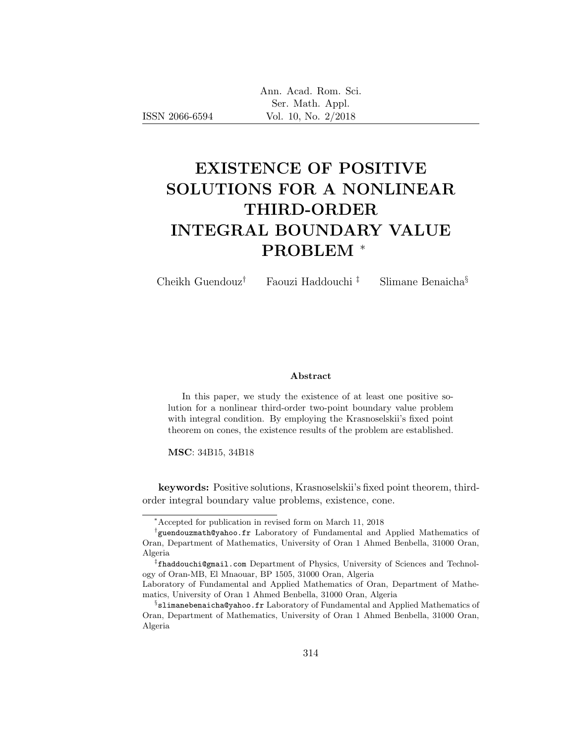| Ann. Acad. Rom. Sci. |
|----------------------|
| Ser. Math. Appl.     |
| Vol. 10, No. 2/2018  |

# EXISTENCE OF POSITIVE SOLUTIONS FOR A NONLINEAR THIRD-ORDER INTEGRAL BOUNDARY VALUE PROBLEM <sup>∗</sup>

Cheikh Guendouz† Faouzi Haddouchi ‡ Slimane Benaicha§

#### Abstract

In this paper, we study the existence of at least one positive solution for a nonlinear third-order two-point boundary value problem with integral condition. By employing the Krasnoselskii's fixed point theorem on cones, the existence results of the problem are established.

MSC: 34B15, 34B18

keywords: Positive solutions, Krasnoselskii's fixed point theorem, thirdorder integral boundary value problems, existence, cone.

<sup>∗</sup>Accepted for publication in revised form on March 11, 2018

<sup>†</sup> guendouzmath@yahoo.fr Laboratory of Fundamental and Applied Mathematics of Oran, Department of Mathematics, University of Oran 1 Ahmed Benbella, 31000 Oran, Algeria

<sup>‡</sup> fhaddouchi@gmail.com Department of Physics, University of Sciences and Technology of Oran-MB, El Mnaouar, BP 1505, 31000 Oran, Algeria

Laboratory of Fundamental and Applied Mathematics of Oran, Department of Mathematics, University of Oran 1 Ahmed Benbella, 31000 Oran, Algeria

 $\S$ slimanebenaicha@yahoo.fr Laboratory of Fundamental and Applied Mathematics of Oran, Department of Mathematics, University of Oran 1 Ahmed Benbella, 31000 Oran, Algeria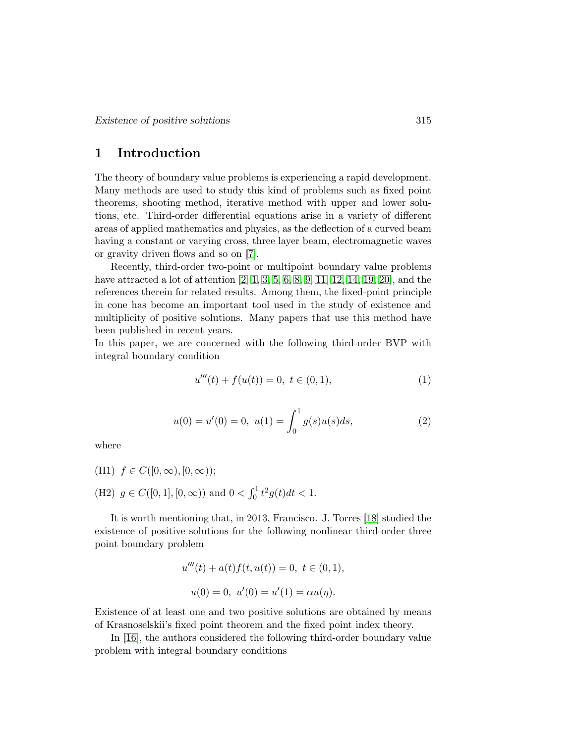# 1 Introduction

The theory of boundary value problems is experiencing a rapid development. Many methods are used to study this kind of problems such as fixed point theorems, shooting method, iterative method with upper and lower solutions, etc. Third-order differential equations arise in a variety of different areas of applied mathematics and physics, as the deflection of a curved beam having a constant or varying cross, three layer beam, electromagnetic waves or gravity driven flows and so on [\[7\]](#page-13-0).

Recently, third-order two-point or multipoint boundary value problems have attracted a lot of attention [\[2,](#page-13-1) [1,](#page-13-2) [3,](#page-13-3) [5,](#page-13-4) [6,](#page-13-5) [8,](#page-13-6) [9,](#page-13-7) [11,](#page-14-0) [12,](#page-14-1) [14,](#page-14-2) [19,](#page-14-3) [20\]](#page-14-4), and the references therein for related results. Among them, the fixed-point principle in cone has become an important tool used in the study of existence and multiplicity of positive solutions. Many papers that use this method have been published in recent years.

In this paper, we are concerned with the following third-order BVP with integral boundary condition

<span id="page-1-0"></span>
$$
u'''(t) + f(u(t)) = 0, \ t \in (0, 1), \tag{1}
$$

$$
u(0) = u'(0) = 0, \ u(1) = \int_0^1 g(s)u(s)ds,
$$
\n(2)

<span id="page-1-1"></span>where

(H1)  $f \in C([0,\infty), [0,\infty))$ ; (H2)  $g \in C([0, 1], [0, \infty))$  and  $0 < \int_0^1 t^2 g(t) dt < 1$ .

It is worth mentioning that, in 2013, Francisco. J. Torres [\[18\]](#page-14-5) studied the existence of positive solutions for the following nonlinear third-order three point boundary problem

$$
u'''(t) + a(t)f(t, u(t)) = 0, \ t \in (0, 1),
$$
  

$$
u(0) = 0, \ u'(0) = u'(1) = \alpha u(\eta).
$$

Existence of at least one and two positive solutions are obtained by means of Krasnoselskii's fixed point theorem and the fixed point index theory.

In [\[16\]](#page-14-6), the authors considered the following third-order boundary value problem with integral boundary conditions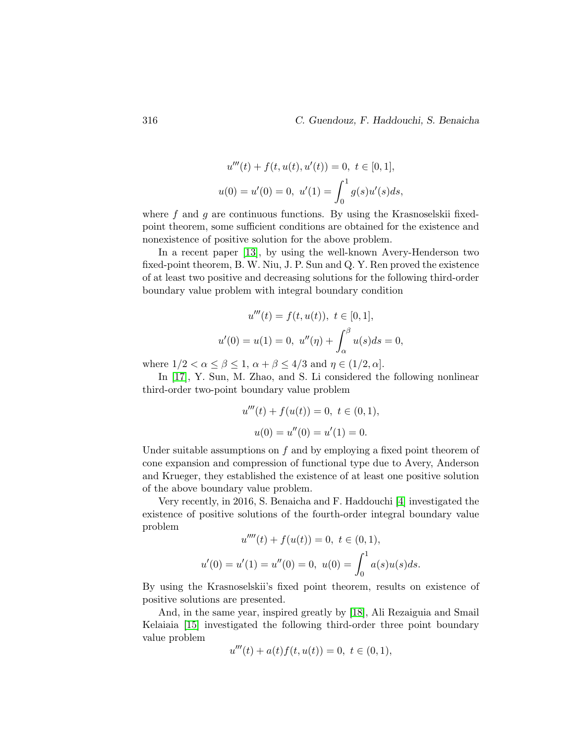$$
u'''(t) + f(t, u(t), u'(t)) = 0, \ t \in [0, 1],
$$
  

$$
u(0) = u'(0) = 0, \ u'(1) = \int_0^1 g(s)u'(s)ds,
$$

where  $f$  and  $g$  are continuous functions. By using the Krasnoselskii fixedpoint theorem, some sufficient conditions are obtained for the existence and nonexistence of positive solution for the above problem.

In a recent paper [\[13\]](#page-14-7), by using the well-known Avery-Henderson two fixed-point theorem, B. W. Niu, J. P. Sun and Q. Y. Ren proved the existence of at least two positive and decreasing solutions for the following third-order boundary value problem with integral boundary condition

$$
u'''(t) = f(t, u(t)), \ t \in [0, 1],
$$
  

$$
u'(0) = u(1) = 0, \ u''(\eta) + \int_{\alpha}^{\beta} u(s)ds = 0,
$$

where  $1/2 < \alpha \leq \beta \leq 1$ ,  $\alpha + \beta \leq 4/3$  and  $\eta \in (1/2, \alpha]$ .

In [\[17\]](#page-14-8), Y. Sun, M. Zhao, and S. Li considered the following nonlinear third-order two-point boundary value problem

$$
u'''(t) + f(u(t)) = 0, \ t \in (0, 1),
$$
  

$$
u(0) = u''(0) = u'(1) = 0.
$$

Under suitable assumptions on  $f$  and by employing a fixed point theorem of cone expansion and compression of functional type due to Avery, Anderson and Krueger, they established the existence of at least one positive solution of the above boundary value problem.

Very recently, in 2016, S. Benaicha and F. Haddouchi [\[4\]](#page-13-8) investigated the existence of positive solutions of the fourth-order integral boundary value problem

$$
u''''(t) + f(u(t)) = 0, \ t \in (0, 1),
$$
  

$$
u'(0) = u'(1) = u''(0) = 0, \ u(0) = \int_0^1 a(s)u(s)ds.
$$

By using the Krasnoselskii's fixed point theorem, results on existence of positive solutions are presented.

And, in the same year, inspired greatly by [\[18\]](#page-14-5), Ali Rezaiguia and Smail Kelaiaia [\[15\]](#page-14-9) investigated the following third-order three point boundary value problem

$$
u'''(t) + a(t)f(t, u(t)) = 0, \ t \in (0, 1),
$$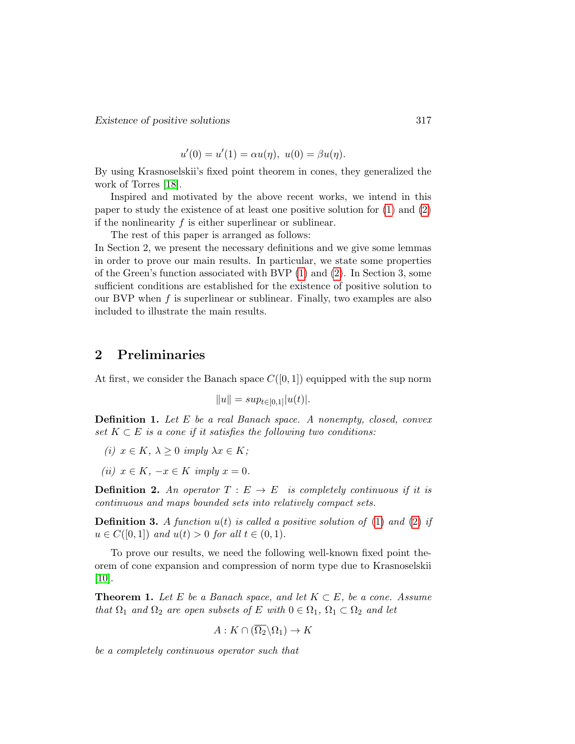Existence of positive solutions 317

 $u'(0) = u'(1) = \alpha u(\eta), \ u(0) = \beta u(\eta).$ 

By using Krasnoselskii's fixed point theorem in cones, they generalized the work of Torres [\[18\]](#page-14-5).

Inspired and motivated by the above recent works, we intend in this paper to study the existence of at least one positive solution for [\(1\)](#page-1-0) and [\(2\)](#page-1-1) if the nonlinearity  $f$  is either superlinear or sublinear.

The rest of this paper is arranged as follows:

In Section 2, we present the necessary definitions and we give some lemmas in order to prove our main results. In particular, we state some properties of the Green's function associated with BVP [\(1\)](#page-1-0) and [\(2\)](#page-1-1). In Section 3, some sufficient conditions are established for the existence of positive solution to our BVP when  $f$  is superlinear or sublinear. Finally, two examples are also included to illustrate the main results.

### 2 Preliminaries

At first, we consider the Banach space  $C([0, 1])$  equipped with the sup norm

$$
||u|| = sup_{t \in [0,1]} |u(t)|.
$$

Definition 1. Let E be a real Banach space. A nonempty, closed, convex set  $K \subset E$  is a cone if it satisfies the following two conditions:

- (i)  $x \in K$ ,  $\lambda \geq 0$  imply  $\lambda x \in K$ ;
- (ii)  $x \in K$ ,  $-x \in K$  imply  $x = 0$ .

**Definition 2.** An operator  $T : E \to E$  is completely continuous if it is continuous and maps bounded sets into relatively compact sets.

**Definition 3.** A function  $u(t)$  is called a positive solution of [\(1\)](#page-1-0) and [\(2\)](#page-1-1) if  $u \in C([0,1])$  and  $u(t) > 0$  for all  $t \in (0,1)$ .

To prove our results, we need the following well-known fixed point theorem of cone expansion and compression of norm type due to Krasnoselskii [\[10\]](#page-14-10).

<span id="page-3-0"></span>**Theorem 1.** Let E be a Banach space, and let  $K \subset E$ , be a cone. Assume that  $\Omega_1$  and  $\Omega_2$  are open subsets of E with  $0 \in \Omega_1$ ,  $\Omega_1 \subset \Omega_2$  and let

$$
A: K \cap (\overline{\Omega_2} \backslash \Omega_1) \to K
$$

be a completely continuous operator such that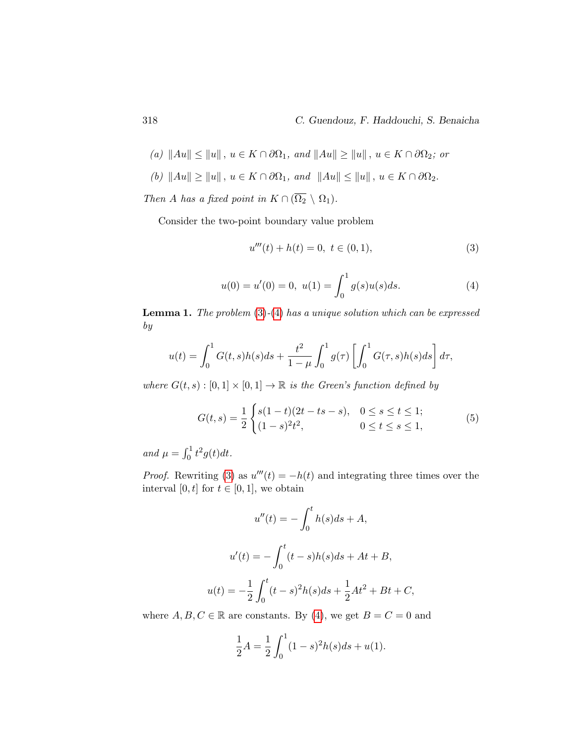(a) 
$$
||Au|| \le ||u||
$$
,  $u \in K \cap \partial\Omega_1$ , and  $||Au|| \ge ||u||$ ,  $u \in K \cap \partial\Omega_2$ ; or

(b)  $\|Au\| \ge \|u\|$ ,  $u \in K \cap \partial\Omega_1$ , and  $\|Au\| \le \|u\|$ ,  $u \in K \cap \partial\Omega_2$ .

Then A has a fixed point in  $K \cap (\overline{\Omega_2} \setminus \Omega_1)$ .

<span id="page-4-1"></span><span id="page-4-0"></span>Consider the two-point boundary value problem

<span id="page-4-2"></span>
$$
u'''(t) + h(t) = 0, \ t \in (0, 1), \tag{3}
$$

$$
u(0) = u'(0) = 0, \ u(1) = \int_0^1 g(s)u(s)ds.
$$
 (4)

<span id="page-4-3"></span>**Lemma 1.** The problem  $(3)-(4)$  $(3)-(4)$  $(3)-(4)$  has a unique solution which can be expressed by

$$
u(t) = \int_0^1 G(t,s)h(s)ds + \frac{t^2}{1-\mu} \int_0^1 g(\tau) \left[ \int_0^1 G(\tau,s)h(s)ds \right] d\tau,
$$

where  $G(t, s) : [0, 1] \times [0, 1] \rightarrow \mathbb{R}$  is the Green's function defined by

$$
G(t,s) = \frac{1}{2} \begin{cases} s(1-t)(2t - ts - s), & 0 \le s \le t \le 1; \\ (1-s)^2 t^2, & 0 \le t \le s \le 1, \end{cases}
$$
(5)

and  $\mu = \int_0^1 t^2 g(t) dt$ .

*Proof.* Rewriting [\(3\)](#page-4-0) as  $u'''(t) = -h(t)$  and integrating three times over the interval [0, t] for  $t \in [0, 1]$ , we obtain

$$
u''(t) = -\int_0^t h(s)ds + A,
$$
  

$$
u'(t) = -\int_0^t (t - s)h(s)ds + At + B,
$$
  

$$
u(t) = -\frac{1}{2}\int_0^t (t - s)^2 h(s)ds + \frac{1}{2}At^2 + Bt + C,
$$

where  $A, B, C \in \mathbb{R}$  are constants. By [\(4\)](#page-4-1), we get  $B = C = 0$  and

$$
\frac{1}{2}A = \frac{1}{2} \int_0^1 (1 - s)^2 h(s) ds + u(1).
$$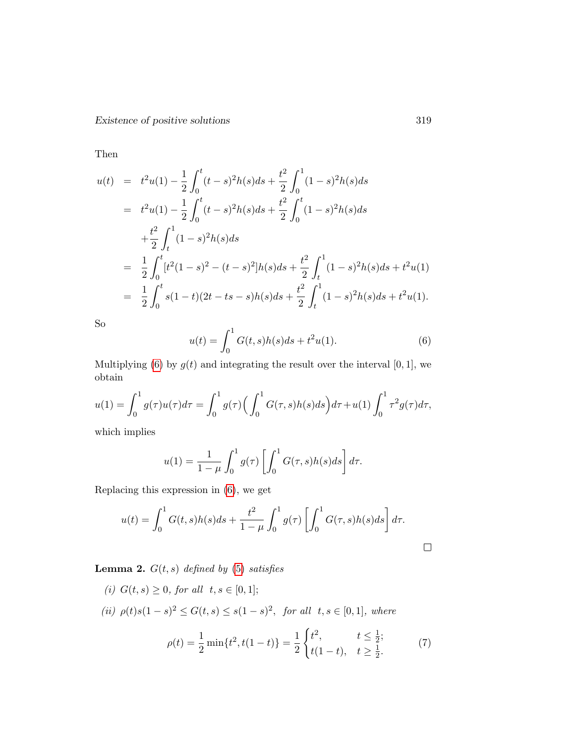Existence of positive solutions 319

Then

$$
u(t) = t2u(1) - \frac{1}{2} \int_0^t (t-s)^2 h(s)ds + \frac{t^2}{2} \int_0^1 (1-s)^2 h(s)ds
$$
  
\n
$$
= t2u(1) - \frac{1}{2} \int_0^t (t-s)^2 h(s)ds + \frac{t^2}{2} \int_0^t (1-s)^2 h(s)ds
$$
  
\n
$$
+ \frac{t^2}{2} \int_t^1 (1-s)^2 h(s)ds
$$
  
\n
$$
= \frac{1}{2} \int_0^t [t^2 (1-s)^2 - (t-s)^2] h(s)ds + \frac{t^2}{2} \int_t^1 (1-s)^2 h(s)ds + t^2 u(1)
$$
  
\n
$$
= \frac{1}{2} \int_0^t s(1-t)(2t - ts - s)h(s)ds + \frac{t^2}{2} \int_t^1 (1-s)^2 h(s)ds + t^2 u(1).
$$

<span id="page-5-0"></span>So

$$
u(t) = \int_0^1 G(t,s)h(s)ds + t^2u(1).
$$
 (6)

Multiplying [\(6\)](#page-5-0) by  $g(t)$  and integrating the result over the interval [0, 1], we obtain

$$
u(1) = \int_0^1 g(\tau)u(\tau)d\tau = \int_0^1 g(\tau) \Big(\int_0^1 G(\tau,s)h(s)ds\Big)d\tau + u(1)\int_0^1 \tau^2 g(\tau)d\tau,
$$

which implies

$$
u(1) = \frac{1}{1-\mu} \int_0^1 g(\tau) \left[ \int_0^1 G(\tau,s)h(s)ds \right] d\tau.
$$

Replacing this expression in [\(6\)](#page-5-0), we get

$$
u(t) = \int_0^1 G(t,s)h(s)ds + \frac{t^2}{1-\mu} \int_0^1 g(\tau) \left[ \int_0^1 G(\tau,s)h(s)ds \right] d\tau.
$$

<span id="page-5-1"></span>**Lemma 2.**  $G(t, s)$  defined by [\(5\)](#page-4-2) satisfies

(i)  $G(t, s) \geq 0$ , for all  $t, s \in [0, 1]$ ; (ii)  $\rho(t)s(1-s)^2 \le G(t,s) \le s(1-s)^2$ , for all  $t,s \in [0,1]$ , where  $\rho(t) = \frac{1}{2} \min\{t^2, t(1-t)\} = \frac{1}{2}$ 2  $\int t^2$ ,  $t \leq \frac{1}{2}$  $\frac{1}{2}$ ;  $t(1-t), \quad t \geq \frac{1}{2}$  $\frac{1}{2}$ . (7)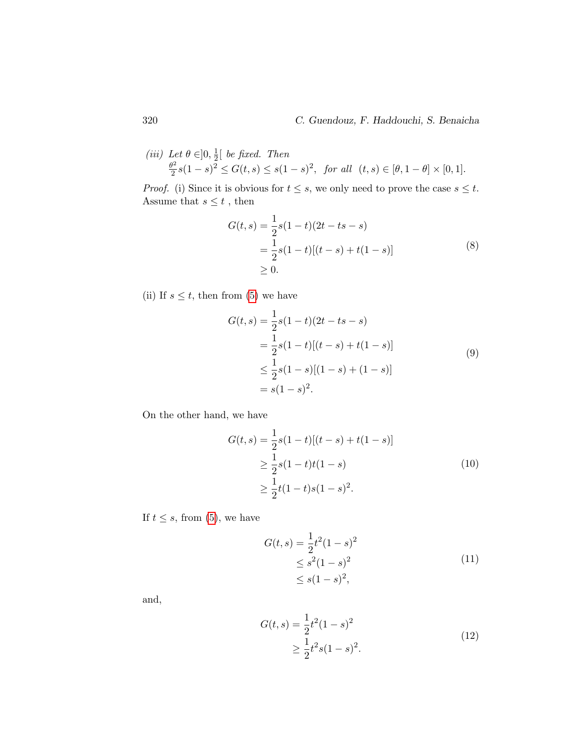(iii) Let 
$$
\theta \in ]0, \frac{1}{2}[
$$
 be fixed. Then  
\n $\frac{\theta^2}{2}s(1-s)^2 \le G(t,s) \le s(1-s)^2$ , for all  $(t,s) \in [\theta, 1-\theta] \times [0,1]$ .

*Proof.* (i) Since it is obvious for  $t \leq s$ , we only need to prove the case  $s \leq t$ . Assume that  $s\leq t$  , then

$$
G(t,s) = \frac{1}{2}s(1-t)(2t - ts - s)
$$
  
= 
$$
\frac{1}{2}s(1-t)[(t - s) + t(1 - s)]
$$
  

$$
\geq 0.
$$
 (8)

(ii) If  $s \leq t$ , then from [\(5\)](#page-4-2) we have

<span id="page-6-0"></span>
$$
G(t,s) = \frac{1}{2}s(1-t)(2t - ts - s)
$$
  
= 
$$
\frac{1}{2}s(1-t)[(t - s) + t(1 - s)]
$$
  

$$
\leq \frac{1}{2}s(1 - s)[(1 - s) + (1 - s)]
$$
  
= 
$$
s(1 - s)^{2}.
$$
 (9)

On the other hand, we have

<span id="page-6-1"></span>
$$
G(t,s) = \frac{1}{2}s(1-t)[(t-s) + t(1-s)]
$$
  
\n
$$
\geq \frac{1}{2}s(1-t)t(1-s)
$$
  
\n
$$
\geq \frac{1}{2}t(1-t)s(1-s)^{2}.
$$
\n(10)

If  $t \leq s$ , from [\(5\)](#page-4-2), we have

<span id="page-6-2"></span>
$$
G(t,s) = \frac{1}{2}t^2(1-s)^2
$$
  
\n
$$
\leq s^2(1-s)^2
$$
  
\n
$$
\leq s(1-s)^2,
$$
\n(11)

<span id="page-6-3"></span>and,

$$
G(t,s) = \frac{1}{2}t^2(1-s)^2
$$
  
\n
$$
\geq \frac{1}{2}t^2s(1-s)^2.
$$
\n(12)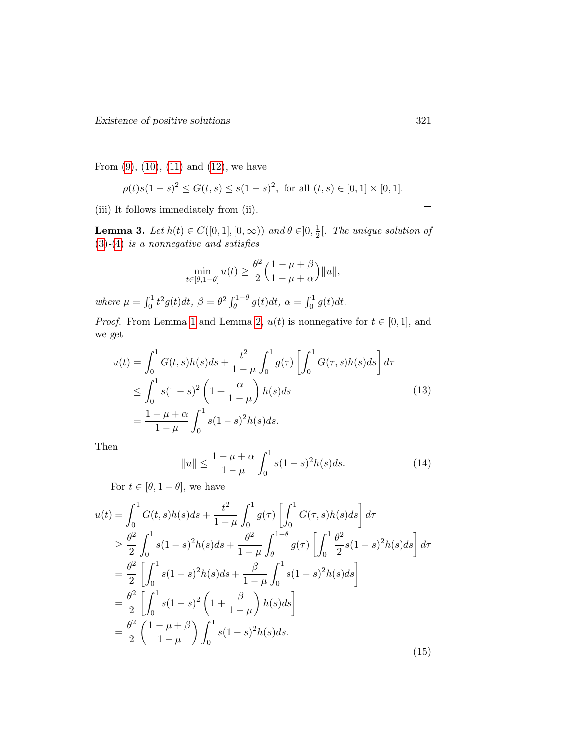From  $(9)$ ,  $(10)$ ,  $(11)$  and  $(12)$ , we have

$$
\rho(t)s(1-s)^2 \le G(t,s) \le s(1-s)^2, \text{ for all } (t,s) \in [0,1] \times [0,1].
$$

(iii) It follows immediately from (ii).

<span id="page-7-2"></span>**Lemma 3.** Let  $h(t) \in C([0,1], [0,\infty))$  and  $\theta \in ]0, \frac{1}{2}]$  $\frac{1}{2}$ [. The unique solution of  $(3)-(4)$  $(3)-(4)$  $(3)-(4)$  is a nonnegative and satisfies

$$
\min_{t\in[\theta,1-\theta]}u(t)\geq\frac{\theta^2}{2}\Big(\frac{1-\mu+\beta}{1-\mu+\alpha}\Big)\|u\|,
$$

where  $\mu = \int_0^1 t^2 g(t) dt$ ,  $\beta = \theta^2 \int_{\theta}^{1-\theta} g(t) dt$ ,  $\alpha = \int_0^1 g(t) dt$ .

*Proof.* From Lemma [1](#page-4-3) and Lemma [2,](#page-5-1)  $u(t)$  is nonnegative for  $t \in [0, 1]$ , and we get

$$
u(t) = \int_0^1 G(t,s)h(s)ds + \frac{t^2}{1-\mu} \int_0^1 g(\tau) \left[ \int_0^1 G(\tau,s)h(s)ds \right] d\tau
$$
  
\n
$$
\leq \int_0^1 s(1-s)^2 \left(1+\frac{\alpha}{1-\mu}\right)h(s)ds
$$
  
\n
$$
= \frac{1-\mu+\alpha}{1-\mu} \int_0^1 s(1-s)^2h(s)ds.
$$
\n(13)

<span id="page-7-0"></span>Then

<span id="page-7-1"></span>
$$
||u|| \le \frac{1 - \mu + \alpha}{1 - \mu} \int_0^1 s(1 - s)^2 h(s) ds.
$$
 (14)

For  $t \in [\theta, 1 - \theta]$ , we have

$$
u(t) = \int_0^1 G(t, s)h(s)ds + \frac{t^2}{1 - \mu} \int_0^1 g(\tau) \left[ \int_0^1 G(\tau, s)h(s)ds \right] d\tau
$$
  
\n
$$
\geq \frac{\theta^2}{2} \int_0^1 s(1 - s)^2 h(s)ds + \frac{\theta^2}{1 - \mu} \int_\theta^{1 - \theta} g(\tau) \left[ \int_0^1 \frac{\theta^2}{2} s(1 - s)^2 h(s)ds \right] d\tau
$$
  
\n
$$
= \frac{\theta^2}{2} \left[ \int_0^1 s(1 - s)^2 h(s)ds + \frac{\beta}{1 - \mu} \int_0^1 s(1 - s)^2 h(s)ds \right]
$$
  
\n
$$
= \frac{\theta^2}{2} \left[ \int_0^1 s(1 - s)^2 \left(1 + \frac{\beta}{1 - \mu}\right) h(s)ds \right]
$$
  
\n
$$
= \frac{\theta^2}{2} \left( \frac{1 - \mu + \beta}{1 - \mu} \right) \int_0^1 s(1 - s)^2 h(s)ds.
$$
 (15)

 $\Box$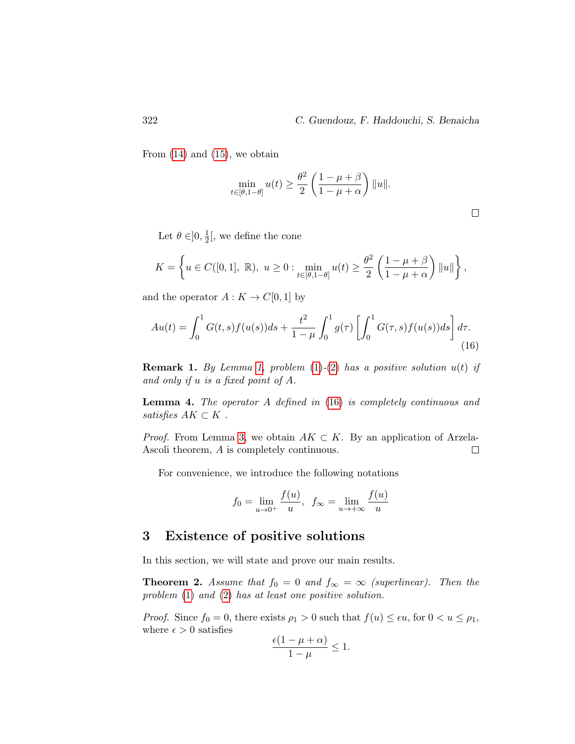$\Box$ 

From  $(14)$  and  $(15)$ , we obtain

<span id="page-8-0"></span>
$$
\min_{t \in [\theta, 1 - \theta]} u(t) \ge \frac{\theta^2}{2} \left( \frac{1 - \mu + \beta}{1 - \mu + \alpha} \right) ||u||.
$$

Let  $\theta \in ]0, \frac{1}{2}$  $\frac{1}{2}$ , we define the cone

$$
K=\left\{u\in C([0,1],\ \mathbb{R}),\ u\geq 0: \min_{t\in [\theta,1-\theta]}u(t)\geq \frac{\theta^2}{2}\left(\frac{1-\mu+\beta}{1-\mu+\alpha}\right)\|u\|\right\},
$$

and the operator  $A: K \to C[0,1]$  by

$$
Au(t) = \int_0^1 G(t,s)f(u(s))ds + \frac{t^2}{1-\mu} \int_0^1 g(\tau) \left[ \int_0^1 G(\tau,s)f(u(s))ds \right] d\tau.
$$
\n(16)

**Remark 1.** By Lemma [1,](#page-4-3) problem  $(1)-(2)$  $(1)-(2)$  $(1)-(2)$  has a positive solution  $u(t)$  if and only if u is a fixed point of A.

Lemma 4. The operator A defined in [\(16\)](#page-8-0) is completely continuous and satisfies  $AK \subset K$ .

*Proof.* From Lemma [3,](#page-7-2) we obtain  $AK \subset K$ . By an application of Arzela-Ascoli theorem, A is completely continuous.  $\Box$ 

For convenience, we introduce the following notations

$$
f_0 = \lim_{u \to 0^+} \frac{f(u)}{u}, \ f_{\infty} = \lim_{u \to +\infty} \frac{f(u)}{u}
$$

# 3 Existence of positive solutions

In this section, we will state and prove our main results.

<span id="page-8-1"></span>**Theorem 2.** Assume that  $f_0 = 0$  and  $f_\infty = \infty$  (superlinear). Then the problem  $(1)$  and  $(2)$  has at least one positive solution.

*Proof.* Since  $f_0 = 0$ , there exists  $\rho_1 > 0$  such that  $f(u) \leq \epsilon u$ , for  $0 < u \leq \rho_1$ , where  $\epsilon > 0$  satisfies

$$
\frac{\epsilon(1-\mu+\alpha)}{1-\mu}\leq 1.
$$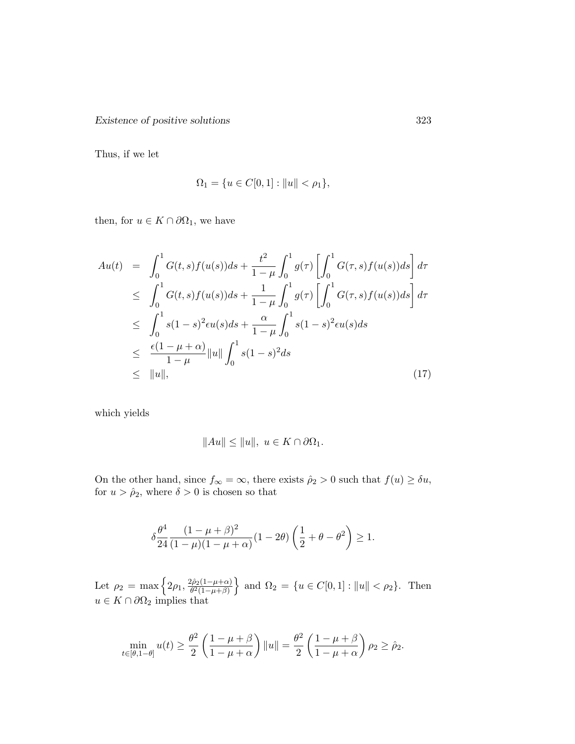Existence of positive solutions 323

Thus, if we let

$$
\Omega_1 = \{ u \in C[0,1] : ||u|| < \rho_1 \},\
$$

then, for  $u \in K \cap \partial \Omega_1$ , we have

<span id="page-9-0"></span>
$$
Au(t) = \int_0^1 G(t,s)f(u(s))ds + \frac{t^2}{1-\mu} \int_0^1 g(\tau) \left[ \int_0^1 G(\tau,s)f(u(s))ds \right] d\tau
$$
  
\n
$$
\leq \int_0^1 G(t,s)f(u(s))ds + \frac{1}{1-\mu} \int_0^1 g(\tau) \left[ \int_0^1 G(\tau,s)f(u(s))ds \right] d\tau
$$
  
\n
$$
\leq \int_0^1 s(1-s)^2 \epsilon u(s)ds + \frac{\alpha}{1-\mu} \int_0^1 s(1-s)^2 \epsilon u(s)ds
$$
  
\n
$$
\leq \frac{\epsilon(1-\mu+\alpha)}{1-\mu} ||u|| \int_0^1 s(1-s)^2 ds
$$
  
\n
$$
\leq ||u||, \tag{17}
$$

which yields

$$
||Au|| \le ||u||, \ u \in K \cap \partial \Omega_1.
$$

On the other hand, since  $f_{\infty} = \infty$ , there exists  $\hat{\rho}_2 > 0$  such that  $f(u) \geq \delta u$ , for  $u > \hat{\rho}_2$ , where  $\delta > 0$  is chosen so that

$$
\delta \frac{\theta^4}{24} \frac{(1-\mu+\beta)^2}{(1-\mu)(1-\mu+\alpha)} (1-2\theta) \left(\frac{1}{2}+\theta-\theta^2\right) \ge 1.
$$

Let  $\rho_2 = \max \left\{ 2\rho_1, \frac{2\rho_2(1-\mu+\alpha)}{\theta^2(1-\mu+\beta)} \right\}$  $\left\{\frac{\partial \hat{\rho}_2(1-\mu+\alpha)}{\partial^2(1-\mu+\beta)}\right\}$  and  $\Omega_2 = \{u \in C[0,1] : ||u|| < \rho_2\}$ . Then  $u \in K \cap \partial \Omega_2$  implies that

$$
\min_{t \in [\theta, 1 - \theta]} u(t) \ge \frac{\theta^2}{2} \left( \frac{1 - \mu + \beta}{1 - \mu + \alpha} \right) ||u|| = \frac{\theta^2}{2} \left( \frac{1 - \mu + \beta}{1 - \mu + \alpha} \right) \rho_2 \ge \hat{\rho}_2.
$$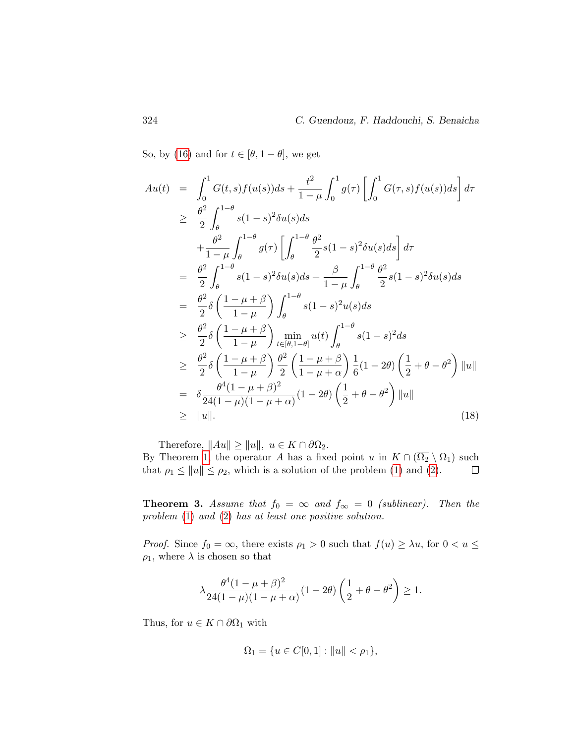So, by [\(16\)](#page-8-0) and for  $t \in [\theta, 1 - \theta]$ , we get

<span id="page-10-0"></span>
$$
Au(t) = \int_0^1 G(t,s)f(u(s))ds + \frac{t^2}{1-\mu} \int_0^1 g(\tau) \left[ \int_0^1 G(\tau,s)f(u(s))ds \right] d\tau
$$
  
\n
$$
\geq \frac{\theta^2}{2} \int_{\theta}^{1-\theta} s(1-s)^2 \delta u(s)ds
$$
  
\n
$$
+ \frac{\theta^2}{1-\mu} \int_{\theta}^{1-\theta} g(\tau) \left[ \int_{\theta}^{1-\theta} \frac{\theta^2}{2} s(1-s)^2 \delta u(s)ds \right] d\tau
$$
  
\n
$$
= \frac{\theta^2}{2} \int_{\theta}^{1-\theta} s(1-s)^2 \delta u(s)ds + \frac{\beta}{1-\mu} \int_{\theta}^{1-\theta} \frac{\theta^2}{2} s(1-s)^2 \delta u(s)ds
$$
  
\n
$$
= \frac{\theta^2}{2} \delta \left( \frac{1-\mu+\beta}{1-\mu} \right) \int_{\theta}^{1-\theta} s(1-s)^2 u(s)ds
$$
  
\n
$$
\geq \frac{\theta^2}{2} \delta \left( \frac{1-\mu+\beta}{1-\mu} \right) \min_{t \in [\theta,1-\theta]} u(t) \int_{\theta}^{1-\theta} s(1-s)^2 ds
$$
  
\n
$$
\geq \frac{\theta^2}{2} \delta \left( \frac{1-\mu+\beta}{1-\mu} \right) \frac{\theta^2}{2} \left( \frac{1-\mu+\beta}{1-\mu+\alpha} \right) \frac{1}{6} (1-2\theta) \left( \frac{1}{2} + \theta - \theta^2 \right) ||u||
$$
  
\n
$$
= \delta \frac{\theta^4 (1-\mu+\beta)^2}{24(1-\mu)(1-\mu+\alpha)} (1-2\theta) \left( \frac{1}{2} + \theta - \theta^2 \right) ||u||
$$
  
\n
$$
\geq ||u||.
$$
 (18)

Therefore,  $||Au|| \ge ||u||$ ,  $u \in K \cap \partial \Omega_2$ .

By Theorem [1,](#page-3-0) the operator A has a fixed point u in  $K \cap (\overline{\Omega_2} \setminus \Omega_1)$  such that  $\rho_1 \le ||u|| \le \rho_2$ , which is a solution of the problem [\(1\)](#page-1-0) and [\(2\)](#page-1-1).  $\Box$ 

<span id="page-10-1"></span>**Theorem 3.** Assume that  $f_0 = \infty$  and  $f_\infty = 0$  (sublinear). Then the problem [\(1\)](#page-1-0) and [\(2\)](#page-1-1) has at least one positive solution.

*Proof.* Since  $f_0 = \infty$ , there exists  $\rho_1 > 0$  such that  $f(u) \geq \lambda u$ , for  $0 < u \leq$  $\rho_1$ , where  $\lambda$  is chosen so that

$$
\lambda \frac{\theta^4 (1-\mu+\beta)^2}{24(1-\mu)(1-\mu+\alpha)} (1-2\theta) \left(\frac{1}{2}+\theta-\theta^2\right) \geq 1.
$$

Thus, for  $u \in K \cap \partial \Omega_1$  with

$$
\Omega_1 = \{ u \in C[0,1] : ||u|| < \rho_1 \},\
$$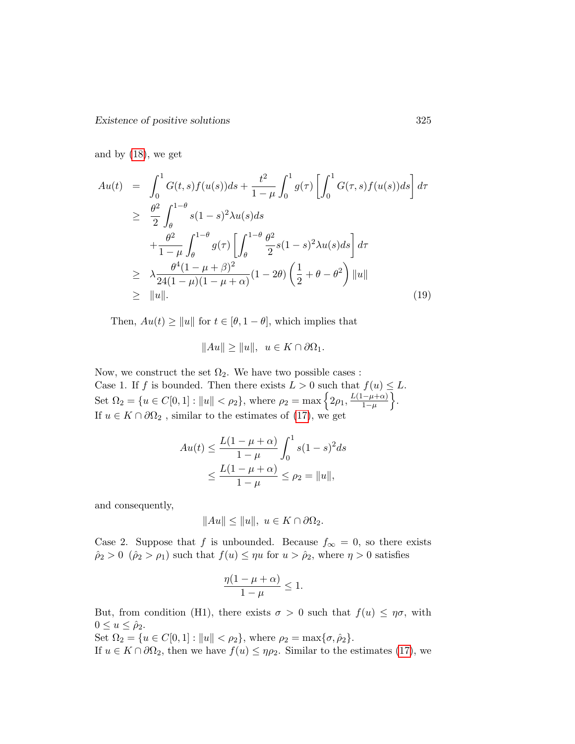and by [\(18\)](#page-10-0), we get

$$
Au(t) = \int_0^1 G(t,s)f(u(s))ds + \frac{t^2}{1-\mu} \int_0^1 g(\tau) \left[ \int_0^1 G(\tau,s)f(u(s))ds \right] d\tau
$$
  
\n
$$
\geq \frac{\theta^2}{2} \int_{\theta}^{1-\theta} s(1-s)^2 \lambda u(s)ds + \frac{\theta^2}{1-\mu} \int_{\theta}^{1-\theta} g(\tau) \left[ \int_{\theta}^{1-\theta} \frac{\theta^2}{2} s(1-s)^2 \lambda u(s)ds \right] d\tau
$$
  
\n
$$
\geq \lambda \frac{\theta^4 (1-\mu+\beta)^2}{24(1-\mu)(1-\mu+\alpha)} (1-2\theta) \left( \frac{1}{2} + \theta - \theta^2 \right) ||u||
$$
  
\n
$$
\geq ||u||. \tag{19}
$$

Then,  $Au(t) \ge ||u||$  for  $t \in [\theta, 1-\theta]$ , which implies that

$$
||Au|| \ge ||u||, \ \ u \in K \cap \partial \Omega_1.
$$

Now, we construct the set  $\Omega_2$ . We have two possible cases : Case 1. If f is bounded. Then there exists  $L > 0$  such that  $f(u) \leq L$ . Set  $\Omega_2 = \{u \in C[0,1]: ||u|| < \rho_2\}$ , where  $\rho_2 = \max \{2\rho_1, \frac{L(1-\mu+\alpha)}{1-\mu}\}$  $\frac{-\mu+\alpha)}{1-\mu}$ . If  $u \in K \cap \partial \Omega_2$ , similar to the estimates of [\(17\)](#page-9-0), we get

$$
Au(t) \le \frac{L(1 - \mu + \alpha)}{1 - \mu} \int_0^1 s(1 - s)^2 ds
$$
  
 
$$
\le \frac{L(1 - \mu + \alpha)}{1 - \mu} \le \rho_2 = ||u||,
$$

and consequently,

$$
||Au|| \le ||u||, \ u \in K \cap \partial \Omega_2.
$$

Case 2. Suppose that f is unbounded. Because  $f_{\infty} = 0$ , so there exists  $\hat{\rho}_2 > 0 \, (\hat{\rho}_2 > \rho_1)$  such that  $f(u) \leq \eta u$  for  $u > \hat{\rho}_2$ , where  $\eta > 0$  satisfies

$$
\frac{\eta(1-\mu+\alpha)}{1-\mu}\leq 1.
$$

But, from condition (H1), there exists  $\sigma > 0$  such that  $f(u) \leq \eta \sigma$ , with  $0 \leq u \leq \hat{\rho}_2$ .

Set  $\Omega_2 = \{u \in C[0,1] : ||u|| < \rho_2\}$ , where  $\rho_2 = \max{\{\sigma, \hat{\rho}_2\}}$ .

If  $u \in K \cap \partial \Omega_2$ , then we have  $f(u) \le \eta \rho_2$ . Similar to the estimates [\(17\)](#page-9-0), we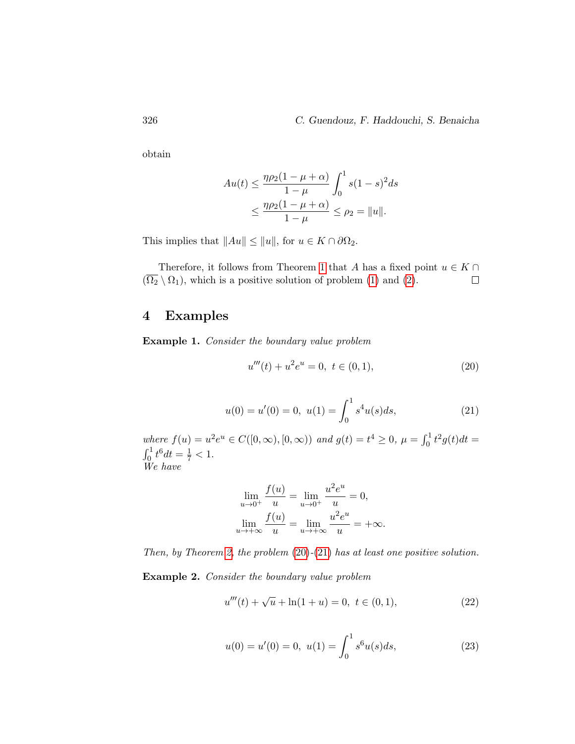obtain

$$
Au(t) \le \frac{\eta \rho_2 (1 - \mu + \alpha)}{1 - \mu} \int_0^1 s(1 - s)^2 ds
$$
  
 
$$
\le \frac{\eta \rho_2 (1 - \mu + \alpha)}{1 - \mu} \le \rho_2 = ||u||.
$$

This implies that  $||Au|| \le ||u||$ , for  $u \in K \cap \partial \Omega_2$ .

Therefore, it follows from Theorem [1](#page-3-0) that A has a fixed point  $u \in K \cap$  $(\overline{\Omega_2} \setminus \Omega_1)$ , which is a positive solution of problem [\(1\)](#page-1-0) and [\(2\)](#page-1-1).  $\Box$ 

# 4 Examples

<span id="page-12-1"></span>Example 1. Consider the boundary value problem

<span id="page-12-0"></span>
$$
u'''(t) + u^2 e^u = 0, \ t \in (0, 1), \tag{20}
$$

$$
u(0) = u'(0) = 0, \ u(1) = \int_0^1 s^4 u(s) ds,
$$
\n(21)

where  $f(u) = u^2 e^u \in C([0, \infty), [0, \infty))$  and  $g(t) = t^4 \ge 0$ ,  $\mu = \int_0^1 t^2 g(t) dt =$  $\int_0^1 t^6 dt = \frac{1}{7} < 1.$ We have

$$
\lim_{u \to 0^{+}} \frac{f(u)}{u} = \lim_{u \to 0^{+}} \frac{u^{2}e^{u}}{u} = 0,
$$
  

$$
\lim_{u \to +\infty} \frac{f(u)}{u} = \lim_{u \to +\infty} \frac{u^{2}e^{u}}{u} = +\infty.
$$

Then, by Theorem [2,](#page-8-1) the problem  $(20)$ - $(21)$  has at least one positive solution.

<span id="page-12-3"></span>Example 2. Consider the boundary value problem

<span id="page-12-2"></span>
$$
u'''(t) + \sqrt{u} + \ln(1+u) = 0, \ t \in (0,1), \tag{22}
$$

$$
u(0) = u'(0) = 0, \ u(1) = \int_0^1 s^6 u(s) ds,
$$
\n(23)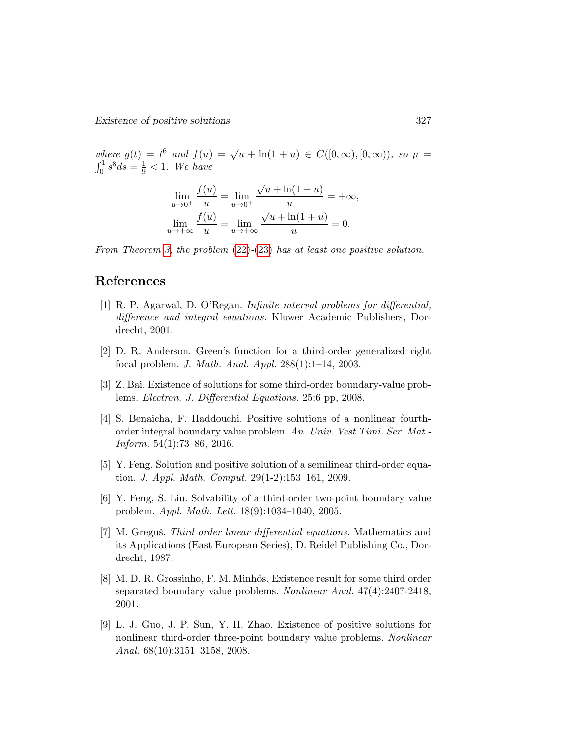where  $g(t) = t^6$  and  $f(u) = \sqrt{u} + \ln(1 + u) \in C([0, \infty), [0, \infty))$ , so  $\mu =$  $\int_0^1 s^8 ds = \frac{1}{9} < 1.$  We have

$$
\lim_{u \to 0^{+}} \frac{f(u)}{u} = \lim_{u \to 0^{+}} \frac{\sqrt{u} + \ln(1 + u)}{u} = +\infty,
$$
  

$$
\lim_{u \to +\infty} \frac{f(u)}{u} = \lim_{u \to +\infty} \frac{\sqrt{u} + \ln(1 + u)}{u} = 0.
$$

From Theorem [3,](#page-10-1) the problem  $(22)-(23)$  $(22)-(23)$  $(22)-(23)$  has at least one positive solution.

# References

- <span id="page-13-2"></span>[1] R. P. Agarwal, D. O'Regan. Infinite interval problems for differential, difference and integral equations. Kluwer Academic Publishers, Dordrecht, 2001.
- <span id="page-13-1"></span>[2] D. R. Anderson. Green's function for a third-order generalized right focal problem. J. Math. Anal. Appl. 288(1):1–14, 2003.
- <span id="page-13-3"></span>[3] Z. Bai. Existence of solutions for some third-order boundary-value problems. Electron. J. Differential Equations. 25:6 pp, 2008.
- <span id="page-13-8"></span>[4] S. Benaicha, F. Haddouchi. Positive solutions of a nonlinear fourthorder integral boundary value problem. An. Univ. Vest Timi. Ser. Mat.- Inform. 54(1):73–86, 2016.
- <span id="page-13-4"></span>[5] Y. Feng. Solution and positive solution of a semilinear third-order equation. J. Appl. Math. Comput. 29(1-2):153–161, 2009.
- <span id="page-13-5"></span>[6] Y. Feng, S. Liu. Solvability of a third-order two-point boundary value problem. Appl. Math. Lett. 18(9):1034–1040, 2005.
- <span id="page-13-0"></span>[7] M. Greguš. Third order linear differential equations. Mathematics and its Applications (East European Series), D. Reidel Publishing Co., Dordrecht, 1987.
- <span id="page-13-6"></span>[8] M. D. R. Grossinho, F. M. Minhós. Existence result for some third order separated boundary value problems. Nonlinear Anal. 47(4):2407-2418, 2001.
- <span id="page-13-7"></span>[9] L. J. Guo, J. P. Sun, Y. H. Zhao. Existence of positive solutions for nonlinear third-order three-point boundary value problems. Nonlinear Anal. 68(10):3151–3158, 2008.